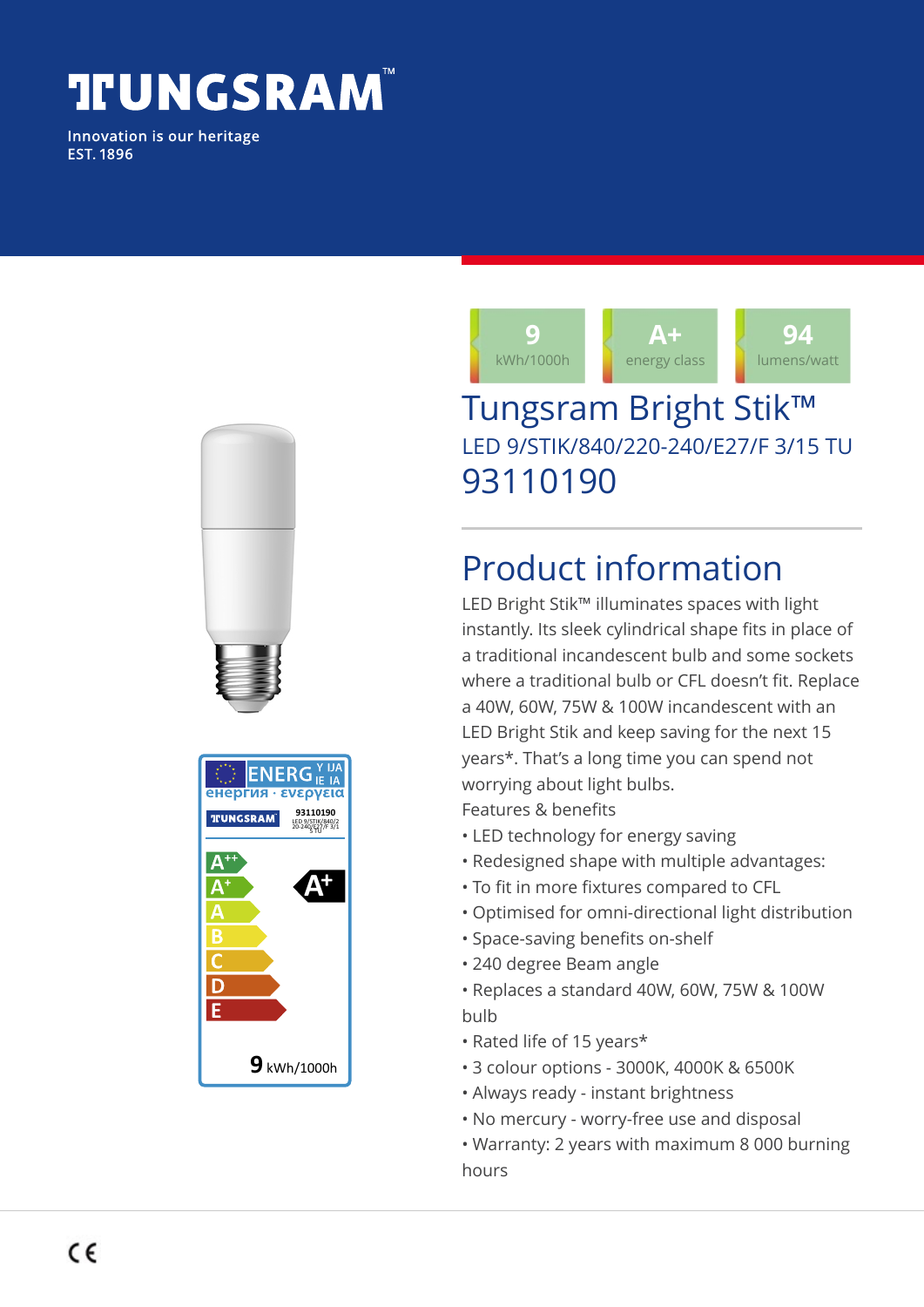# **TIUNGSRAM**

Innovation is our heritage **EST. 1896** 



### Tungsram Bright Stik™ LED 9/STIK/840/220-240/E27/F 3/15 TU 93110190

## Product information

LED Bright Stik™ illuminates spaces with light instantly. Its sleek cylindrical shape fits in place of a traditional incandescent bulb and some sockets where a traditional bulb or CFL doesn't fit. Replace a 40W, 60W, 75W & 100W incandescent with an LED Bright Stik and keep saving for the next 15 years\*. That's a long time you can spend not worrying about light bulbs. Features & benefits

- LED technology for energy saving
- Redesigned shape with multiple advantages:
- To fit in more fixtures compared to CFL
- Optimised for omni-directional light distribution
- Space-saving benefits on-shelf
- 240 degree Beam angle
- Replaces a standard 40W, 60W, 75W & 100W bulb
- Rated life of 15 years\*
- 3 colour options 3000K, 4000K & 6500K
- Always ready instant brightness
- No mercury worry-free use and disposal
- Warranty: 2 years with maximum 8 000 burning hours

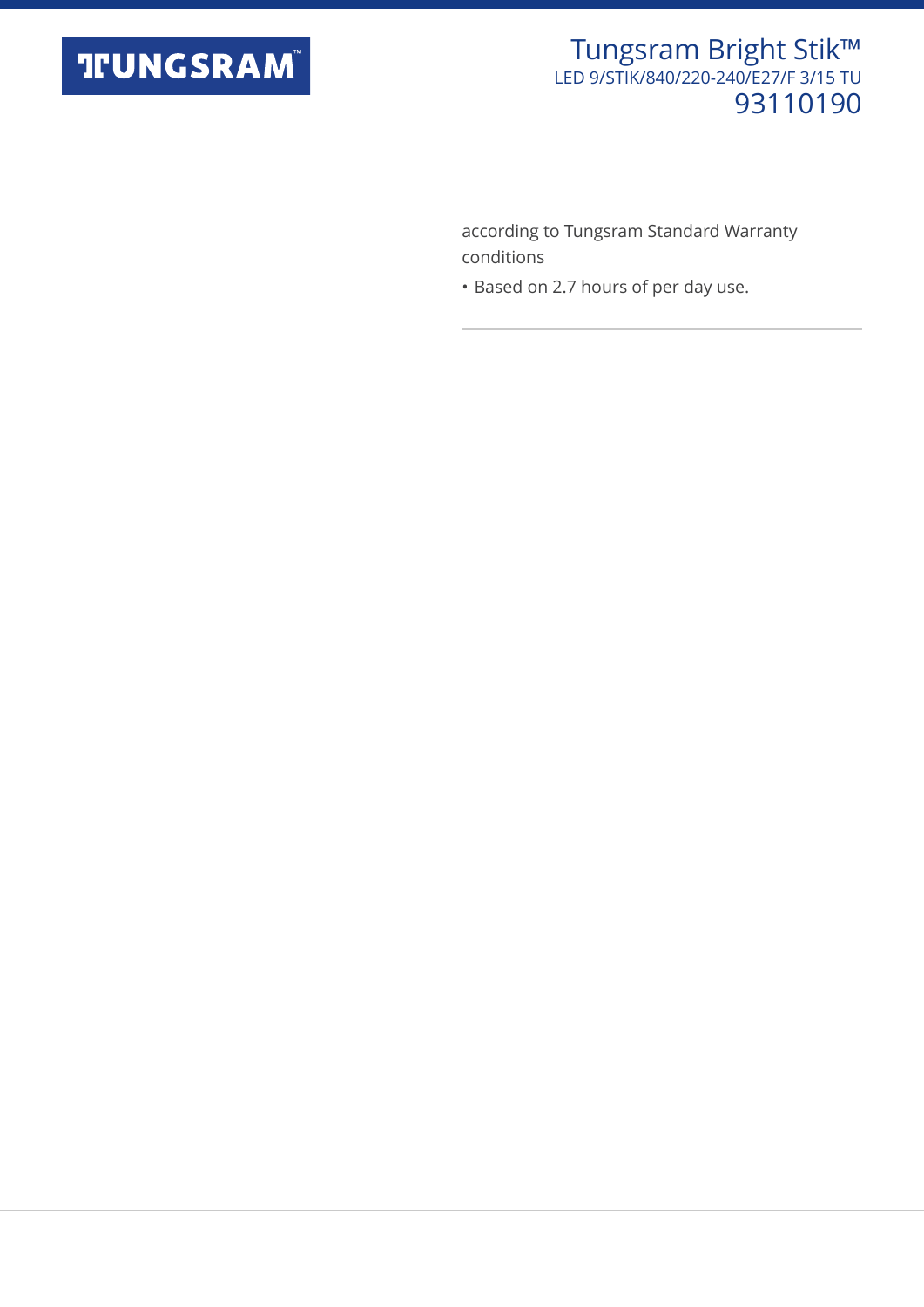

according to Tungsram Standard Warranty conditions

• Based on 2.7 hours of per day use.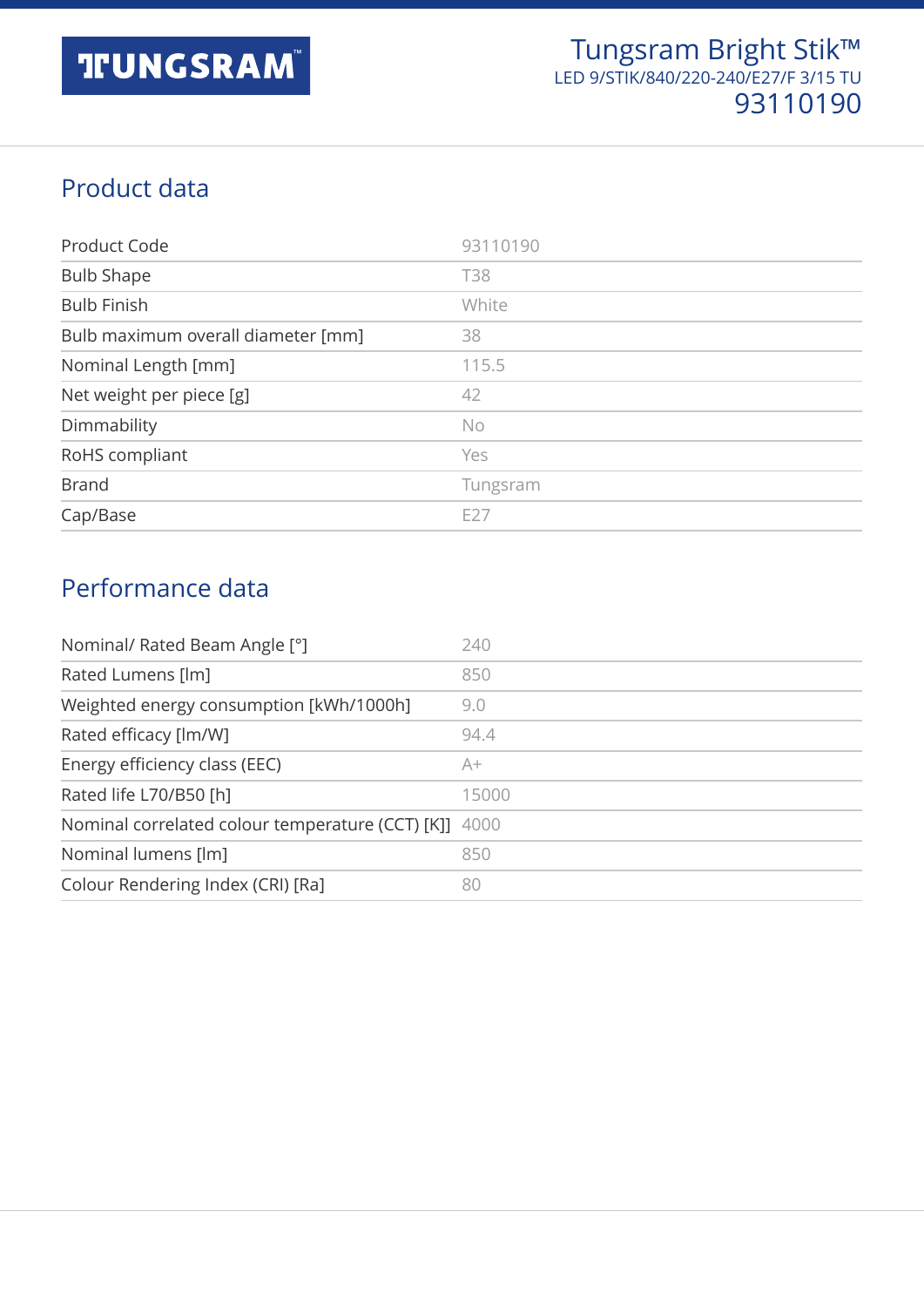#### Product data

| Product Code                       | 93110190   |
|------------------------------------|------------|
| <b>Bulb Shape</b>                  | <b>T38</b> |
| <b>Bulb Finish</b>                 | White      |
| Bulb maximum overall diameter [mm] | 38         |
| Nominal Length [mm]                | 115.5      |
| Net weight per piece [g]           | 42         |
| Dimmability                        | No         |
| RoHS compliant                     | Yes        |
| <b>Brand</b>                       | Tungsram   |
| Cap/Base                           | E27        |

#### Performance data

| Nominal/ Rated Beam Angle [°]                         | 240   |
|-------------------------------------------------------|-------|
| Rated Lumens [lm]                                     | 850   |
| Weighted energy consumption [kWh/1000h]               | 9.0   |
| Rated efficacy [lm/W]                                 | 94.4  |
| Energy efficiency class (EEC)                         | A+    |
| Rated life L70/B50 [h]                                | 15000 |
| Nominal correlated colour temperature (CCT) [K]] 4000 |       |
| Nominal lumens [lm]                                   | 850   |
| Colour Rendering Index (CRI) [Ra]                     | 80    |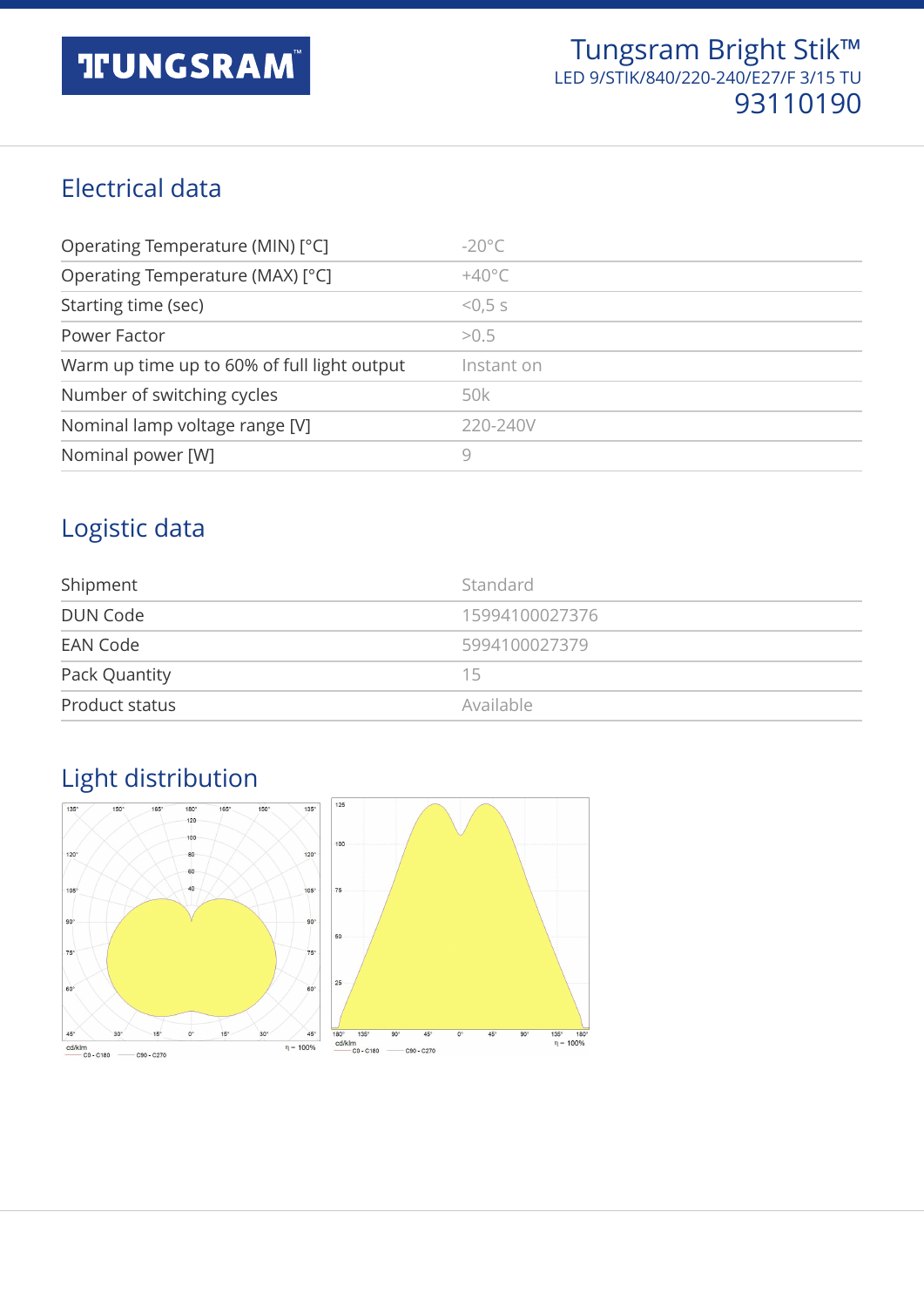#### Electrical data

| Operating Temperature (MIN) [°C]            | $-20^{\circ}$ C |
|---------------------------------------------|-----------------|
| Operating Temperature (MAX) [°C]            | $+40^{\circ}$ C |
| Starting time (sec)                         | < 0.5 s         |
| Power Factor                                | >0.5            |
| Warm up time up to 60% of full light output | Instant on      |
| Number of switching cycles                  | 50k             |
| Nominal lamp voltage range [V]              | 220-240V        |
| Nominal power [W]                           | 9               |

#### Logistic data

| Shipment       | Standard       |
|----------------|----------------|
| DUN Code       | 15994100027376 |
| EAN Code       | 5994100027379  |
| Pack Quantity  | 15             |
| Product status | Available      |

#### 125  $\overline{13}$  $\overline{135^\circ}$ 180  $120$  $100$  $120$ 80  $\frac{1}{120}$ 60  $\frac{1}{105}$ 105 75  $90<sup>1</sup>$  $90^{\circ}$ 50  $75^\circ$  $75^\circ$  $\overline{25}$ 60

#### Light distribution

 $15^\circ$ 

 $-$  C90 - C270

 $\overline{\mathbf{a}}$ 

 $45^\circ$ 

 $\frac{cd/klm}{\frac{1}{1-\frac{1}{1-\frac{1}{1-\frac{1}{1-\frac{1}{1-\frac{1}{1-\frac{1}{1-\frac{1}{1-\frac{1}{1-\frac{1}{1-\frac{1}{1-\frac{1}{1-\frac{1}{1-\frac{1}{1-\frac{1}{1-\frac{1}{1-\frac{1}{1-\frac{1}{1-\frac{1}{1-\frac{1}{1-\frac{1}{1-\frac{1}{1-\frac{1}{1-\frac{1}{1-\frac{1}{1-\frac{1}{1-\frac{1}{1-\frac{1}{1-\frac{1}{1-\frac{1}{1-\frac{1}{1-\frac{1}{1-\frac{1}{1-\frac{1}{1-\frac{1}{1-\frac$